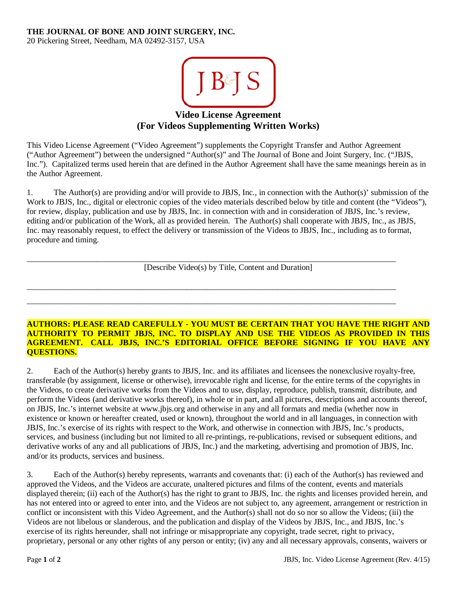## **THE JOURNAL OF BONE AND JOINT SURGERY, INC.**

20 Pickering Street, Needham, MA 02492-3157, USA



**Video License Agreement (For Videos Supplementing Written Works)**

This Video License Agreement ("Video Agreement") supplements the Copyright Transfer and Author Agreement ("Author Agreement") between the undersigned "Author(s)" and The Journal of Bone and Joint Surgery, Inc. ("JBJS, Inc."). Capitalized terms used herein that are defined in the Author Agreement shall have the same meanings herein as in the Author Agreement.

1. The Author(s) are providing and/or will provide to JBJS, Inc., in connection with the Author(s)' submission of the Work to JBJS, Inc., digital or electronic copies of the video materials described below by title and content (the "Videos"), for review, display, publication and use by JBJS, Inc. in connection with and in consideration of JBJS, Inc.'s review, editing and/or publication of the Work, all as provided herein. The Author(s) shall cooperate with JBJS, Inc., as JBJS, Inc. may reasonably request, to effect the delivery or transmission of the Videos to JBJS, Inc., including as to format, procedure and timing.

[Describe Video(s) by Title, Content and Duration]

\_\_\_\_\_\_\_\_\_\_\_\_\_\_\_\_\_\_\_\_\_\_\_\_\_\_\_\_\_\_\_\_\_\_\_\_\_\_\_\_\_\_\_\_\_\_\_\_\_\_\_\_\_\_\_\_\_\_\_\_\_\_\_\_\_\_\_\_\_\_\_\_\_\_\_\_\_\_\_\_\_\_\_\_\_\_\_\_\_\_

\_\_\_\_\_\_\_\_\_\_\_\_\_\_\_\_\_\_\_\_\_\_\_\_\_\_\_\_\_\_\_\_\_\_\_\_\_\_\_\_\_\_\_\_\_\_\_\_\_\_\_\_\_\_\_\_\_\_\_\_\_\_\_\_\_\_\_\_\_\_\_\_\_\_\_\_\_\_\_\_\_\_\_\_\_\_\_\_\_\_ \_\_\_\_\_\_\_\_\_\_\_\_\_\_\_\_\_\_\_\_\_\_\_\_\_\_\_\_\_\_\_\_\_\_\_\_\_\_\_\_\_\_\_\_\_\_\_\_\_\_\_\_\_\_\_\_\_\_\_\_\_\_\_\_\_\_\_\_\_\_\_\_\_\_\_\_\_\_\_\_\_\_\_\_\_\_\_\_\_\_

## **AUTHORS: PLEASE READ CAREFULLY - YOU MUST BE CERTAIN THAT YOU HAVE THE RIGHT AND AUTHORITY TO PERMIT JBJS, INC. TO DISPLAY AND USE THE VIDEOS AS PROVIDED IN THIS AGREEMENT. CALL JBJS, INC.'S EDITORIAL OFFICE BEFORE SIGNING IF YOU HAVE ANY QUESTIONS.**

2. Each of the Author(s) hereby grants to JBJS, Inc. and its affiliates and licensees the nonexclusive royalty-free, transferable (by assignment, license or otherwise), irrevocable right and license, for the entire terms of the copyrights in the Videos, to create derivative works from the Videos and to use, display, reproduce, publish, transmit, distribute, and perform the Videos (and derivative works thereof), in whole or in part, and all pictures, descriptions and accounts thereof, on JBJS, Inc.'s internet website at www.jbjs.org and otherwise in any and all formats and media (whether now in existence or known or hereafter created, used or known), throughout the world and in all languages, in connection with JBJS, Inc.'s exercise of its rights with respect to the Work, and otherwise in connection with JBJS, Inc.'s products, services, and business (including but not limited to all re-printings, re-publications, revised or subsequent editions, and derivative works of any and all publications of JBJS, Inc.) and the marketing, advertising and promotion of JBJS, Inc. and/or its products, services and business.

3. Each of the Author(s) hereby represents, warrants and covenants that: (i) each of the Author(s) has reviewed and approved the Videos, and the Videos are accurate, unaltered pictures and films of the content, events and materials displayed therein; (ii) each of the Author(s) has the right to grant to JBJS, Inc. the rights and licenses provided herein, and has not entered into or agreed to enter into, and the Videos are not subject to, any agreement, arrangement or restriction in conflict or inconsistent with this Video Agreement, and the Author(s) shall not do so nor so allow the Videos; (iii) the Videos are not libelous or slanderous, and the publication and display of the Videos by JBJS, Inc., and JBJS, Inc.'s exercise of its rights hereunder, shall not infringe or misappropriate any copyright, trade secret, right to privacy, proprietary, personal or any other rights of any person or entity; (iv) any and all necessary approvals, consents, waivers or